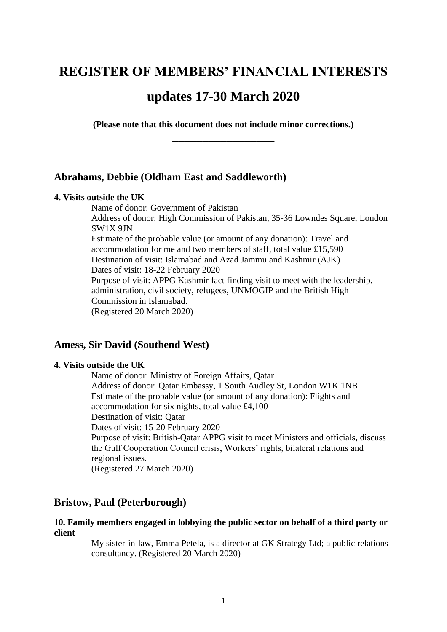# **REGISTER OF MEMBERS' FINANCIAL INTERESTS**

# **updates 17-30 March 2020**

**(Please note that this document does not include minor corrections.) \_\_\_\_\_\_\_\_\_\_\_\_\_\_\_\_\_**

# **Abrahams, Debbie (Oldham East and Saddleworth)**

### **4. Visits outside the UK**

Name of donor: Government of Pakistan Address of donor: High Commission of Pakistan, 35-36 Lowndes Square, London SW1X 9JN Estimate of the probable value (or amount of any donation): Travel and accommodation for me and two members of staff, total value £15,590 Destination of visit: Islamabad and Azad Jammu and Kashmir (AJK) Dates of visit: 18-22 February 2020 Purpose of visit: APPG Kashmir fact finding visit to meet with the leadership, administration, civil society, refugees, UNMOGIP and the British High Commission in Islamabad. (Registered 20 March 2020)

## **Amess, Sir David (Southend West)**

## **4. Visits outside the UK**

Name of donor: Ministry of Foreign Affairs, Qatar Address of donor: Qatar Embassy, 1 South Audley St, London W1K 1NB Estimate of the probable value (or amount of any donation): Flights and accommodation for six nights, total value £4,100 Destination of visit: Qatar Dates of visit: 15-20 February 2020 Purpose of visit: British-Qatar APPG visit to meet Ministers and officials, discuss the Gulf Cooperation Council crisis, Workers' rights, bilateral relations and regional issues. (Registered 27 March 2020)

## **Bristow, Paul (Peterborough)**

### **10. Family members engaged in lobbying the public sector on behalf of a third party or client**

My sister-in-law, Emma Petela, is a director at GK Strategy Ltd; a public relations consultancy. (Registered 20 March 2020)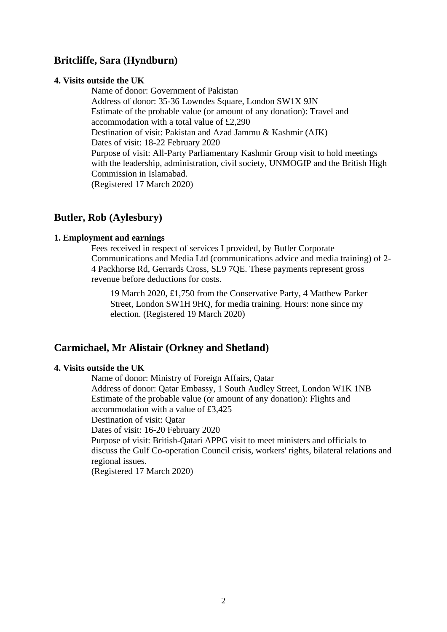# **Britcliffe, Sara (Hyndburn)**

### **4. Visits outside the UK**

Name of donor: Government of Pakistan Address of donor: 35-36 Lowndes Square, London SW1X 9JN Estimate of the probable value (or amount of any donation): Travel and accommodation with a total value of £2,290 Destination of visit: Pakistan and Azad Jammu & Kashmir (AJK) Dates of visit: 18-22 February 2020 Purpose of visit: All-Party Parliamentary Kashmir Group visit to hold meetings with the leadership, administration, civil society, UNMOGIP and the British High Commission in Islamabad. (Registered 17 March 2020)

# **Butler, Rob (Aylesbury)**

### **1. Employment and earnings**

Fees received in respect of services I provided, by Butler Corporate Communications and Media Ltd (communications advice and media training) of 2- 4 Packhorse Rd, Gerrards Cross, SL9 7QE. These payments represent gross revenue before deductions for costs.

19 March 2020, £1,750 from the Conservative Party, 4 Matthew Parker Street, London SW1H 9HQ, for media training. Hours: none since my election. (Registered 19 March 2020)

# **Carmichael, Mr Alistair (Orkney and Shetland)**

# **4. Visits outside the UK**

Name of donor: Ministry of Foreign Affairs, Qatar Address of donor: Qatar Embassy, 1 South Audley Street, London W1K 1NB Estimate of the probable value (or amount of any donation): Flights and accommodation with a value of £3,425 Destination of visit: Qatar Dates of visit: 16-20 February 2020 Purpose of visit: British-Qatari APPG visit to meet ministers and officials to discuss the Gulf Co-operation Council crisis, workers' rights, bilateral relations and regional issues. (Registered 17 March 2020)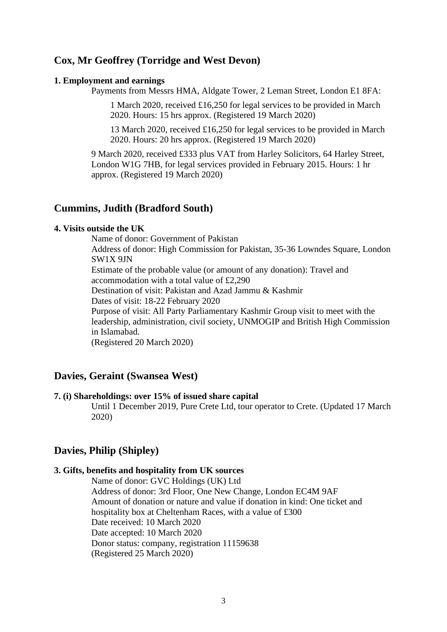# **Cox, Mr Geoffrey (Torridge and West Devon)**

### **1. Employment and earnings**

Payments from Messrs HMA, Aldgate Tower, 2 Leman Street, London E1 8FA:

1 March 2020, received £16,250 for legal services to be provided in March 2020. Hours: 15 hrs approx. (Registered 19 March 2020)

13 March 2020, received £16,250 for legal services to be provided in March 2020. Hours: 20 hrs approx. (Registered 19 March 2020)

9 March 2020, received £333 plus VAT from Harley Solicitors, 64 Harley Street, London W1G 7HB, for legal services provided in February 2015. Hours: 1 hr approx. (Registered 19 March 2020)

### **Cummins, Judith (Bradford South)**

# **4. Visits outside the UK**

Name of donor: Government of Pakistan

Address of donor: High Commission for Pakistan, 35-36 Lowndes Square, London SW1X 9JN

Estimate of the probable value (or amount of any donation): Travel and accommodation with a total value of £2,290

Destination of visit: Pakistan and Azad Jammu & Kashmir

Dates of visit: 18-22 February 2020

Purpose of visit: All Party Parliamentary Kashmir Group visit to meet with the leadership, administration, civil society, UNMOGIP and British High Commission in Islamabad.

(Registered 20 March 2020)

# **Davies, Geraint (Swansea West)**

### **7. (i) Shareholdings: over 15% of issued share capital**

Until 1 December 2019, Pure Crete Ltd, tour operator to Crete. (Updated 17 March 2020)

# **Davies, Philip (Shipley)**

### **3. Gifts, benefits and hospitality from UK sources**

Name of donor: GVC Holdings (UK) Ltd Address of donor: 3rd Floor, One New Change, London EC4M 9AF Amount of donation or nature and value if donation in kind: One ticket and hospitality box at Cheltenham Races, with a value of £300 Date received: 10 March 2020 Date accepted: 10 March 2020 Donor status: company, registration 11159638 (Registered 25 March 2020)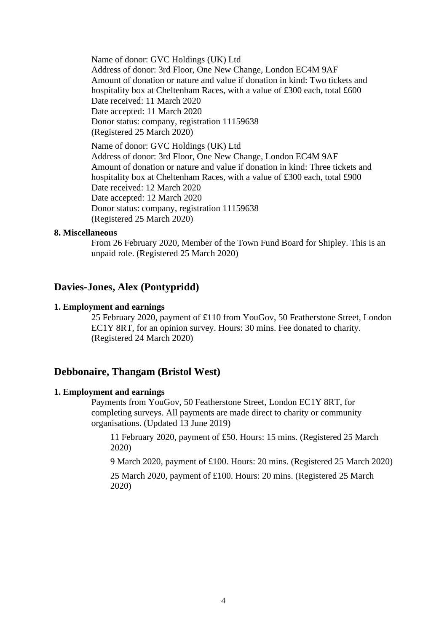Name of donor: GVC Holdings (UK) Ltd

Address of donor: 3rd Floor, One New Change, London EC4M 9AF Amount of donation or nature and value if donation in kind: Two tickets and hospitality box at Cheltenham Races, with a value of £300 each, total £600 Date received: 11 March 2020 Date accepted: 11 March 2020 Donor status: company, registration 11159638 (Registered 25 March 2020)

Name of donor: GVC Holdings (UK) Ltd Address of donor: 3rd Floor, One New Change, London EC4M 9AF Amount of donation or nature and value if donation in kind: Three tickets and hospitality box at Cheltenham Races, with a value of £300 each, total £900 Date received: 12 March 2020 Date accepted: 12 March 2020 Donor status: company, registration 11159638 (Registered 25 March 2020)

### **8. Miscellaneous**

From 26 February 2020, Member of the Town Fund Board for Shipley. This is an unpaid role. (Registered 25 March 2020)

# **Davies-Jones, Alex (Pontypridd)**

### **1. Employment and earnings**

25 February 2020, payment of £110 from YouGov, 50 Featherstone Street, London EC1Y 8RT, for an opinion survey. Hours: 30 mins. Fee donated to charity. (Registered 24 March 2020)

# **Debbonaire, Thangam (Bristol West)**

### **1. Employment and earnings**

Payments from YouGov, 50 Featherstone Street, London EC1Y 8RT, for completing surveys. All payments are made direct to charity or community organisations. (Updated 13 June 2019)

11 February 2020, payment of £50. Hours: 15 mins. (Registered 25 March 2020)

9 March 2020, payment of £100. Hours: 20 mins. (Registered 25 March 2020)

25 March 2020, payment of £100. Hours: 20 mins. (Registered 25 March 2020)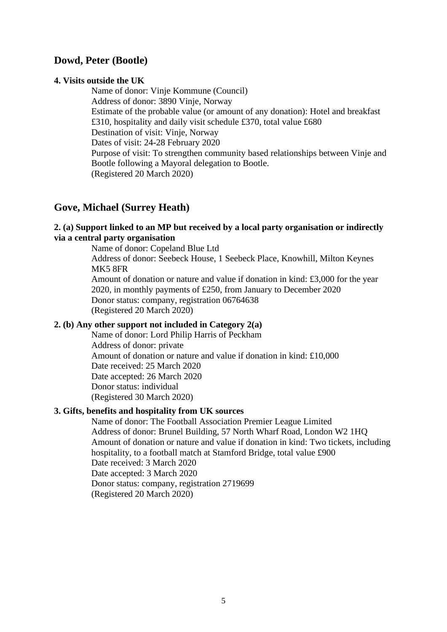# **Dowd, Peter (Bootle)**

### **4. Visits outside the UK**

Name of donor: Vinje Kommune (Council) Address of donor: 3890 Vinje, Norway Estimate of the probable value (or amount of any donation): Hotel and breakfast £310, hospitality and daily visit schedule £370, total value £680 Destination of visit: Vinje, Norway Dates of visit: 24-28 February 2020 Purpose of visit: To strengthen community based relationships between Vinje and Bootle following a Mayoral delegation to Bootle. (Registered 20 March 2020)

# **Gove, Michael (Surrey Heath)**

# **2. (a) Support linked to an MP but received by a local party organisation or indirectly via a central party organisation**

Name of donor: Copeland Blue Ltd Address of donor: Seebeck House, 1 Seebeck Place, Knowhill, Milton Keynes MK5 8FR Amount of donation or nature and value if donation in kind: £3,000 for the year

2020, in monthly payments of £250, from January to December 2020 Donor status: company, registration 06764638 (Registered 20 March 2020)

## **2. (b) Any other support not included in Category 2(a)**

Name of donor: Lord Philip Harris of Peckham Address of donor: private Amount of donation or nature and value if donation in kind: £10,000 Date received: 25 March 2020 Date accepted: 26 March 2020 Donor status: individual (Registered 30 March 2020)

# **3. Gifts, benefits and hospitality from UK sources**

Name of donor: The Football Association Premier League Limited Address of donor: Brunel Building, 57 North Wharf Road, London W2 1HQ Amount of donation or nature and value if donation in kind: Two tickets, including hospitality, to a football match at Stamford Bridge, total value £900 Date received: 3 March 2020 Date accepted: 3 March 2020 Donor status: company, registration 2719699 (Registered 20 March 2020)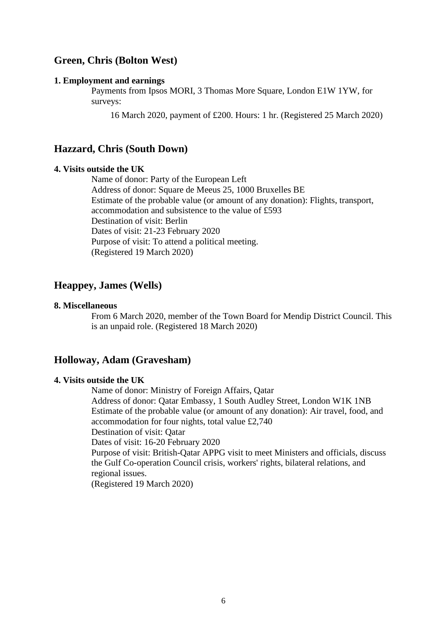# **Green, Chris (Bolton West)**

#### **1. Employment and earnings**

Payments from Ipsos MORI, 3 Thomas More Square, London E1W 1YW, for surveys:

16 March 2020, payment of £200. Hours: 1 hr. (Registered 25 March 2020)

# **Hazzard, Chris (South Down)**

## **4. Visits outside the UK**

Name of donor: Party of the European Left Address of donor: Square de Meeus 25, 1000 Bruxelles BE Estimate of the probable value (or amount of any donation): Flights, transport, accommodation and subsistence to the value of £593 Destination of visit: Berlin Dates of visit: 21-23 February 2020 Purpose of visit: To attend a political meeting. (Registered 19 March 2020)

# **Heappey, James (Wells)**

#### **8. Miscellaneous**

From 6 March 2020, member of the Town Board for Mendip District Council. This is an unpaid role. (Registered 18 March 2020)

### **Holloway, Adam (Gravesham)**

### **4. Visits outside the UK**

Name of donor: Ministry of Foreign Affairs, Qatar Address of donor: Qatar Embassy, 1 South Audley Street, London W1K 1NB Estimate of the probable value (or amount of any donation): Air travel, food, and accommodation for four nights, total value £2,740 Destination of visit: Qatar Dates of visit: 16-20 February 2020 Purpose of visit: British-Qatar APPG visit to meet Ministers and officials, discuss the Gulf Co-operation Council crisis, workers' rights, bilateral relations, and regional issues. (Registered 19 March 2020)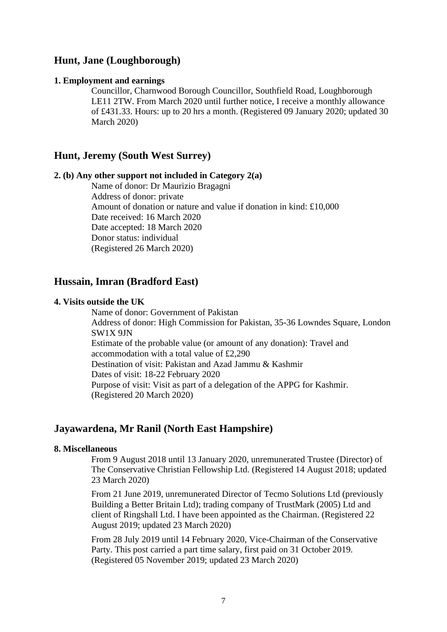# **Hunt, Jane (Loughborough)**

### **1. Employment and earnings**

Councillor, Charnwood Borough Councillor, Southfield Road, Loughborough LE11 2TW. From March 2020 until further notice, I receive a monthly allowance of £431.33. Hours: up to 20 hrs a month. (Registered 09 January 2020; updated 30 March 2020)

# **Hunt, Jeremy (South West Surrey)**

### **2. (b) Any other support not included in Category 2(a)**

Name of donor: Dr Maurizio Bragagni Address of donor: private Amount of donation or nature and value if donation in kind: £10,000 Date received: 16 March 2020 Date accepted: 18 March 2020 Donor status: individual (Registered 26 March 2020)

# **Hussain, Imran (Bradford East)**

### **4. Visits outside the UK**

Name of donor: Government of Pakistan Address of donor: High Commission for Pakistan, 35-36 Lowndes Square, London SW1X 9JN Estimate of the probable value (or amount of any donation): Travel and accommodation with a total value of £2,290 Destination of visit: Pakistan and Azad Jammu & Kashmir Dates of visit: 18-22 February 2020 Purpose of visit: Visit as part of a delegation of the APPG for Kashmir. (Registered 20 March 2020)

## **Jayawardena, Mr Ranil (North East Hampshire)**

### **8. Miscellaneous**

From 9 August 2018 until 13 January 2020, unremunerated Trustee (Director) of The Conservative Christian Fellowship Ltd. (Registered 14 August 2018; updated 23 March 2020)

From 21 June 2019, unremunerated Director of Tecmo Solutions Ltd (previously Building a Better Britain Ltd); trading company of TrustMark (2005) Ltd and client of Ringshall Ltd. I have been appointed as the Chairman. (Registered 22 August 2019; updated 23 March 2020)

From 28 July 2019 until 14 February 2020, Vice-Chairman of the Conservative Party. This post carried a part time salary, first paid on 31 October 2019. (Registered 05 November 2019; updated 23 March 2020)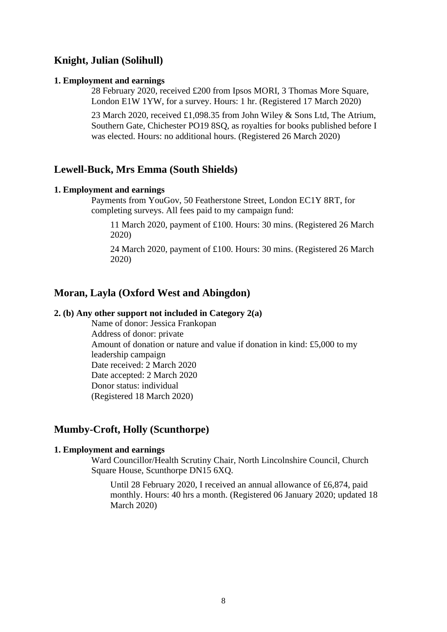# **Knight, Julian (Solihull)**

#### **1. Employment and earnings**

28 February 2020, received £200 from Ipsos MORI, 3 Thomas More Square, London E1W 1YW, for a survey. Hours: 1 hr. (Registered 17 March 2020)

23 March 2020, received £1,098.35 from John Wiley & Sons Ltd, The Atrium, Southern Gate, Chichester PO19 8SQ, as royalties for books published before I was elected. Hours: no additional hours. (Registered 26 March 2020)

# **Lewell-Buck, Mrs Emma (South Shields)**

### **1. Employment and earnings**

Payments from YouGov, 50 Featherstone Street, London EC1Y 8RT, for completing surveys. All fees paid to my campaign fund:

11 March 2020, payment of £100. Hours: 30 mins. (Registered 26 March 2020)

24 March 2020, payment of £100. Hours: 30 mins. (Registered 26 March 2020)

## **Moran, Layla (Oxford West and Abingdon)**

#### **2. (b) Any other support not included in Category 2(a)**

Name of donor: Jessica Frankopan Address of donor: private Amount of donation or nature and value if donation in kind: £5,000 to my leadership campaign Date received: 2 March 2020 Date accepted: 2 March 2020 Donor status: individual (Registered 18 March 2020)

# **Mumby-Croft, Holly (Scunthorpe)**

### **1. Employment and earnings**

Ward Councillor/Health Scrutiny Chair, North Lincolnshire Council, Church Square House, Scunthorpe DN15 6XQ.

Until 28 February 2020, I received an annual allowance of £6,874, paid monthly. Hours: 40 hrs a month. (Registered 06 January 2020; updated 18 March 2020)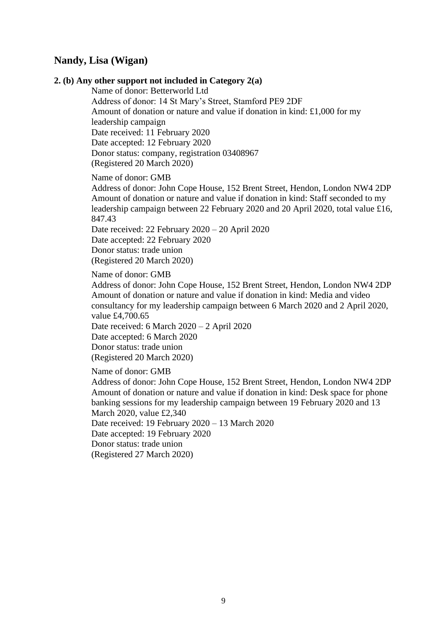# **Nandy, Lisa (Wigan)**

#### **2. (b) Any other support not included in Category 2(a)**

Name of donor: Betterworld Ltd Address of donor: 14 St Mary's Street, Stamford PE9 2DF Amount of donation or nature and value if donation in kind: £1,000 for my leadership campaign Date received: 11 February 2020 Date accepted: 12 February 2020 Donor status: company, registration 03408967 (Registered 20 March 2020)

Name of donor: GMB

Address of donor: John Cope House, 152 Brent Street, Hendon, London NW4 2DP Amount of donation or nature and value if donation in kind: Staff seconded to my leadership campaign between 22 February 2020 and 20 April 2020, total value £16, 847.43

Date received: 22 February 2020 – 20 April 2020 Date accepted: 22 February 2020 Donor status: trade union (Registered 20 March 2020)

Name of donor: GMB

Address of donor: John Cope House, 152 Brent Street, Hendon, London NW4 2DP Amount of donation or nature and value if donation in kind: Media and video consultancy for my leadership campaign between 6 March 2020 and 2 April 2020, value £4,700.65

Date received: 6 March 2020 – 2 April 2020

Date accepted: 6 March 2020 Donor status: trade union

(Registered 20 March 2020)

Name of donor: GMB

Address of donor: John Cope House, 152 Brent Street, Hendon, London NW4 2DP Amount of donation or nature and value if donation in kind: Desk space for phone banking sessions for my leadership campaign between 19 February 2020 and 13 March 2020, value £2,340 Date received: 19 February 2020 – 13 March 2020 Date accepted: 19 February 2020 Donor status: trade union (Registered 27 March 2020)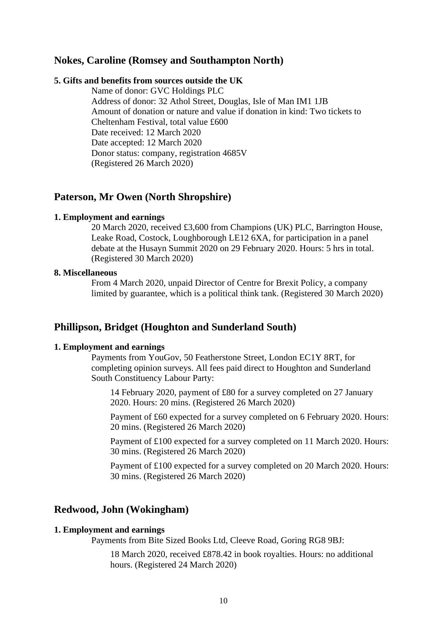# **Nokes, Caroline (Romsey and Southampton North)**

### **5. Gifts and benefits from sources outside the UK**

Name of donor: GVC Holdings PLC Address of donor: 32 Athol Street, Douglas, Isle of Man IM1 1JB Amount of donation or nature and value if donation in kind: Two tickets to Cheltenham Festival, total value £600 Date received: 12 March 2020 Date accepted: 12 March 2020 Donor status: company, registration 4685V (Registered 26 March 2020)

## **Paterson, Mr Owen (North Shropshire)**

### **1. Employment and earnings**

20 March 2020, received £3,600 from Champions (UK) PLC, Barrington House, Leake Road, Costock, Loughborough LE12 6XA, for participation in a panel debate at the Husayn Summit 2020 on 29 February 2020. Hours: 5 hrs in total. (Registered 30 March 2020)

#### **8. Miscellaneous**

From 4 March 2020, unpaid Director of Centre for Brexit Policy, a company limited by guarantee, which is a political think tank. (Registered 30 March 2020)

# **Phillipson, Bridget (Houghton and Sunderland South)**

#### **1. Employment and earnings**

Payments from YouGov, 50 Featherstone Street, London EC1Y 8RT, for completing opinion surveys. All fees paid direct to Houghton and Sunderland South Constituency Labour Party:

14 February 2020, payment of £80 for a survey completed on 27 January 2020. Hours: 20 mins. (Registered 26 March 2020)

Payment of £60 expected for a survey completed on 6 February 2020. Hours: 20 mins. (Registered 26 March 2020)

Payment of £100 expected for a survey completed on 11 March 2020. Hours: 30 mins. (Registered 26 March 2020)

Payment of £100 expected for a survey completed on 20 March 2020. Hours: 30 mins. (Registered 26 March 2020)

# **Redwood, John (Wokingham)**

### **1. Employment and earnings**

Payments from Bite Sized Books Ltd, Cleeve Road, Goring RG8 9BJ:

18 March 2020, received £878.42 in book royalties. Hours: no additional hours. (Registered 24 March 2020)